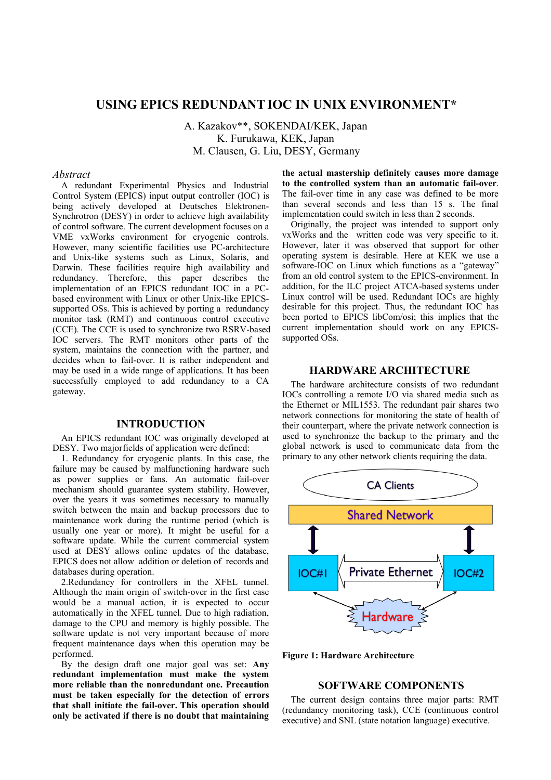# **USING EPICS REDUNDANT IOC IN UNIX ENVIRONMENT\***

A. Kazakov\*\*, SOKENDAI/KEK, Japan K. Furukawa, KEK, Japan M. Clausen, G. Liu, DESY, Germany

## *Abstract*

A redundant Experimental Physics and Industrial Control System (EPICS) input output controller (IOC) is being actively developed at Deutsches Elektronen-Synchrotron (DESY) in order to achieve high availability of control software. The current development focuses on a VME vxWorks environment for cryogenic controls. However, many scientific facilities use PC-architecture and Unix-like systems such as Linux, Solaris, and Darwin. These facilities require high availability and redundancy. Therefore, this paper describes the implementation of an EPICS redundant IOC in a PCbased environment with Linux or other Unix-like EPICSsupported OSs. This is achieved by porting a redundancy monitor task (RMT) and continuous control cxecutive (CCE). The CCE is used to synchronize two RSRV-based IOC servers. The RMT monitors other parts of the system, maintains the connection with the partner, and decides when to fail-over. It is rather independent and may be used in a wide range of applications. It has been successfully employed to add redundancy to a CA gateway.

# **INTRODUCTION**

An EPICS redundant IOC was originally developed at DESY. Two major fields of application were defined:

1. Redundancy for cryogenic plants. In this case, the failure may be caused by malfunctioning hardware such as power supplies or fans. An automatic fail-over mechanism should guarantee system stability. However, over the years it was sometimes necessary to manually switch between the main and backup processors due to maintenance work during the runtime period (which is usually one year or more). It might be useful for a software update. While the current commercial system used at DESY allows online updates of the database, EPICS does not allow addition or deletion of records and databases during operation.

2.Redundancy for controllers in the XFEL tunnel. Although the main origin of switch-over in the first case would be a manual action, it is expected to occur automatically in the XFEL tunnel. Due to high radiation, damage to the CPU and memory is highly possible. The software update is not very important because of more frequent maintenance days when this operation may be performed.

By the design draft one major goal was set: **Any redundant implementation must make the system more reliable than the nonredundant one. Precaution must be taken especially for the detection of errors that shall initiate the fail-over. This operation should only be activated if there is no doubt that maintaining**  **the actual mastership definitely causes more damage to the controlled system than an automatic fail-over**. The fail-over time in any case was defined to be more than several seconds and less than 15 s. The final implementation could switch in less than 2 seconds.

Originally, the project was intended to support only vxWorks and the written code was very specific to it. However, later it was observed that support for other operating system is desirable. Here at KEK we use a software-IOC on Linux which functions as a "gateway" from an old control system to the EPICS-environment. In addition, for the ILC project ATCA-based systems under Linux control will be used. Redundant IOCs are highly desirable for this project. Thus, the redundant IOC has been ported to EPICS libCom/osi; this implies that the current implementation should work on any EPICSsupported OSs.

# **HARDWARE ARCHITECTURE**

The hardware architecture consists of two redundant IOCs controlling a remote I/O via shared media such as the Ethernet or MIL1553. The redundant pair shares two network connections for monitoring the state of health of their counterpart, where the private network connection is used to synchronize the backup to the primary and the global network is used to communicate data from the primary to any other network clients requiring the data.



**Figure 1: Hardware Architecture**

## **SOFTWARE COMPONENTS**

The current design contains three major parts: RMT (redundancy monitoring task), CCE (continuous control executive) and SNL (state notation language) executive.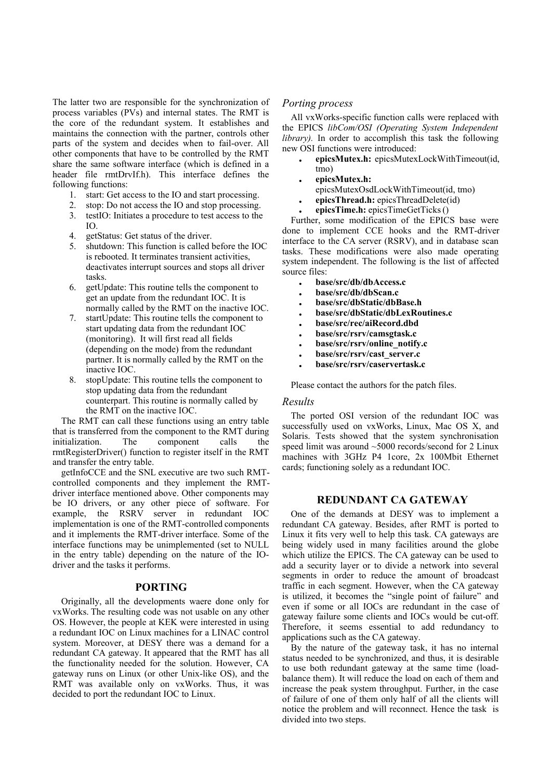The latter two are responsible for the synchronization of process variables (PVs) and internal states. The RMT is the core of the redundant system. It establishes and maintains the connection with the partner, controls other parts of the system and decides when to fail-over. All other components that have to be controlled by the RMT share the same software interface (which is defined in a header file rmtDrvIf.h). This interface defines the following functions:

- 1. start: Get access to the IO and start processing.
- 2. stop: Do not access the IO and stop processing.
- 3. testIO: Initiates a procedure to test access to the IO.
- 4. getStatus: Get status of the driver.
- 5. shutdown: This function is called before the IOC is rebooted. It terminates transient activities, deactivates interrupt sources and stops all driver tasks.
- 6. getUpdate: This routine tells the component to get an update from the redundant IOC. It is normally called by the RMT on the inactive IOC.
- 7. startUpdate: This routine tells the component to start updating data from the redundant IOC (monitoring). It will first read all fields (depending on the mode) from the redundant partner. It is normally called by the RMT on the inactive IOC.
- 8. stopUpdate: This routine tells the component to stop updating data from the redundant counterpart. This routine is normally called by the RMT on the inactive IOC.

The RMT can call these functions using an entry table that is transferred from the component to the RMT during initialization. The component calls the rmtRegisterDriver() function to register itself in the RMT and transfer the entry table.

getInfoCCE and the SNL executive are two such RMTcontrolled components and they implement the RMTdriver interface mentioned above. Other components may be IO drivers, or any other piece of software. For example, the RSRV server in redundant IOC implementation is one of the RMT-controlled components and it implements the RMT-driver interface. Some of the interface functions may be unimplemented (set to NULL in the entry table) depending on the nature of the IOdriver and the tasks it performs.

#### **PORTING**

Originally, all the developments waere done only for vxWorks. The resulting code was not usable on any other OS. However, the people at KEK were interested in using a redundant IOC on Linux machines for a LINAC control system. Moreover, at DESY there was a demand for a redundant CA gateway. It appeared that the RMT has all the functionality needed for the solution. However, CA gateway runs on Linux (or other Unix-like OS), and the RMT was available only on vxWorks. Thus, it was decided to port the redundant IOC to Linux.

#### *Porting process*

All vxWorks-specific function calls were replaced with the EPICS *libCom/OSI (Operating System Independent library).* In order to accomplish this task the following new OSI functions were introduced:

- **epicsMutex.h:** epicsMutexLockWithTimeout(id, tmo)
- **epicsMutex.h:** 
	- epicsMutexOsdLockWithTimeout(id, tmo)
- **epicsThread.h:** epicsThreadDelete(id)
- **epicsTime.h:** epicsTimeGetTicks ()

Further, some modification of the EPICS base were done to implement CCE hooks and the RMT-driver interface to the CA server (RSRV), and in database scan tasks. These modifications were also made operating system independent. The following is the list of affected source files:

- **base/src/db/dbAccess.c**
- **base/src/db/dbScan.c**
- **base/src/dbStatic/dbBase.h**
- **base/src/dbStatic/dbLexRoutines.c**
- **base/src/rec/aiRecord.dbd**
- **base/src/rsrv/camsgtask.c**
- **base/src/rsrv/online\_notify.c**
- **base/src/rsrv/cast\_server.c**
- **base/src/rsrv/caservertask.c**

Please contact the authors for the patch files.

# *Results*

The ported OSI version of the redundant IOC was successfully used on vxWorks, Linux, Mac OS X, and Solaris. Tests showed that the system synchronisation speed limit was around ~5000 records/second for 2 Linux machines with 3GHz P4 1core, 2x 100Mbit Ethernet cards; functioning solely as a redundant IOC.

## **REDUNDANT CA GATEWAY**

One of the demands at DESY was to implement a redundant CA gateway. Besides, after RMT is ported to Linux it fits very well to help this task. CA gateways are being widely used in many facilities around the globe which utilize the EPICS. The CA gateway can be used to add a security layer or to divide a network into several segments in order to reduce the amount of broadcast traffic in each segment. However, when the CA gateway is utilized, it becomes the "single point of failure" and even if some or all IOCs are redundant in the case of gateway failure some clients and IOCs would be cut-off. Therefore, it seems essential to add redundancy to applications such as the CA gateway.

By the nature of the gateway task, it has no internal status needed to be synchronized, and thus, it is desirable to use both redundant gateway at the same time (loadbalance them). It will reduce the load on each of them and increase the peak system throughput. Further, in the case of failure of one of them only half of all the clients will notice the problem and will reconnect. Hence the task is divided into two steps.